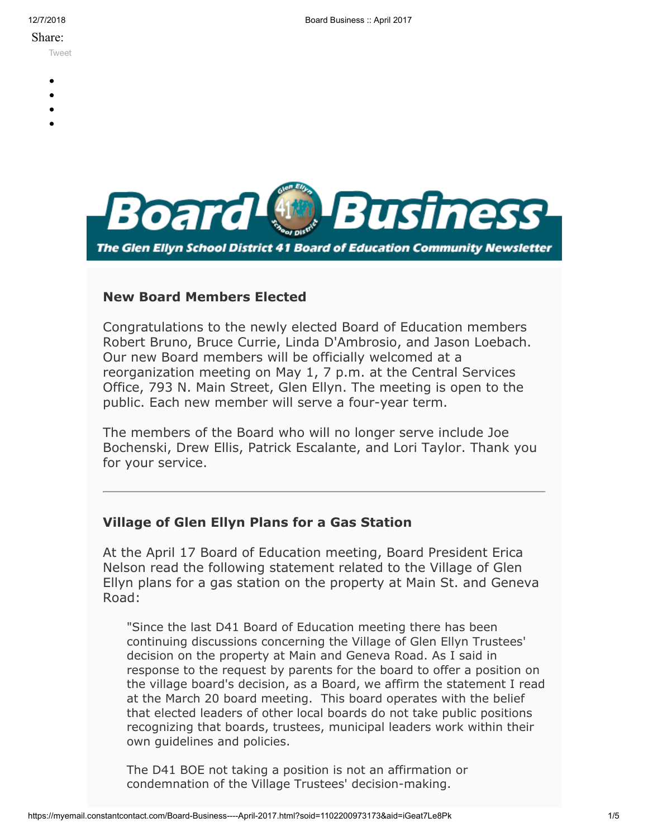#### Share:

[Tweet](https://twitter.com/intent/tweet?original_referer=https%3A%2F%2Fmyemail.constantcontact.com%2FBoard-Business----April-2017.html%3Fsoid%3D1102200973173%26aid%3DiGeat7Le8Pk&ref_src=twsrc%5Etfw&text=Board%20Business%20%3A%3A%20April%202017&tw_p=tweetbutton&url=https%3A%2F%2Fmyemail.constantcontact.com%2FBoard-Business----April-2017.html%3Fsoid%3D1102200973173%26aid%3DiGeat7Le8Pk)

- 
- 
- 
- 
- 



#### **New Board Members Elected**

Congratulations to the newly elected Board of Education members Robert Bruno, Bruce Currie, Linda D'Ambrosio, and Jason Loebach. Our new Board members will be officially welcomed at a reorganization meeting on May 1, 7 p.m. at the Central Services Office, 793 N. Main Street, Glen Ellyn. The meeting is open to the public. Each new member will serve a four-year term.

The members of the Board who will no longer serve include Joe Bochenski, Drew Ellis, Patrick Escalante, and Lori Taylor. Thank you for your service.

## **Village of Glen Ellyn Plans for a Gas Station**

At the April 17 Board of Education meeting, Board President Erica Nelson read the following statement related to the Village of Glen Ellyn plans for a gas station on the property at Main St. and Geneva Road:

"Since the last D41 Board of Education meeting there has been continuing discussions concerning the Village of Glen Ellyn Trustees' decision on the property at Main and Geneva Road. As I said in response to the request by parents for the board to offer a position on the village board's decision, as a Board, we affirm the statement I read at the March 20 board meeting. This board operates with the belief that elected leaders of other local boards do not take public positions recognizing that boards, trustees, municipal leaders work within their own guidelines and policies.

The D41 BOE not taking a position is not an affirmation or condemnation of the Village Trustees' decision-making.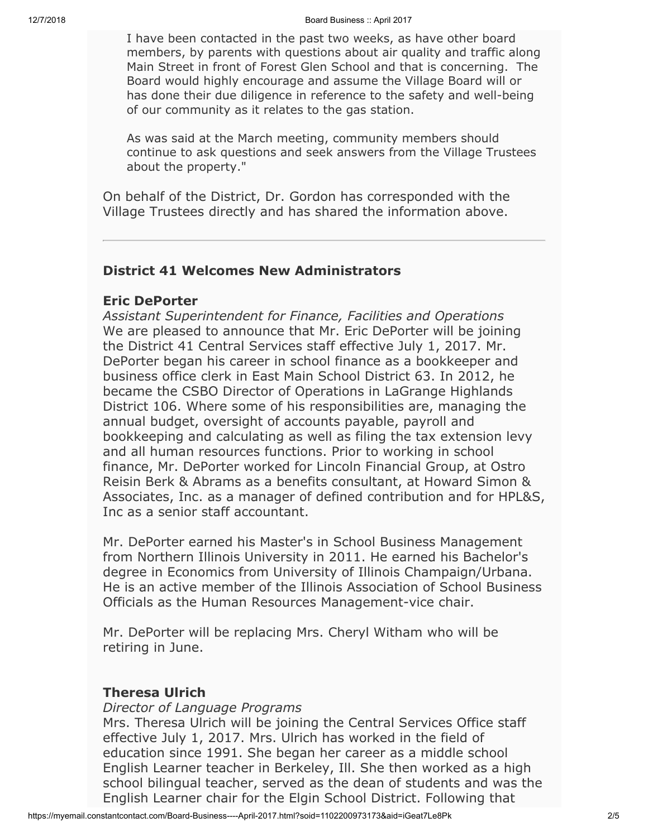#### 12/7/2018 Board Business :: April 2017

I have been contacted in the past two weeks, as have other board members, by parents with questions about air quality and traffic along Main Street in front of Forest Glen School and that is concerning. The Board would highly encourage and assume the Village Board will or has done their due diligence in reference to the safety and well-being of our community as it relates to the gas station.

As was said at the March meeting, community members should continue to ask questions and seek answers from the Village Trustees about the property."

On behalf of the District, Dr. Gordon has corresponded with the Village Trustees directly and has shared the information above.

#### **District 41 Welcomes New Administrators**

#### **Eric DePorter**

*Assistant Superintendent for Finance, Facilities and Operations* We are pleased to announce that Mr. Eric DePorter will be joining the District 41 Central Services staff effective July 1, 2017. Mr. DePorter began his career in school finance as a bookkeeper and business office clerk in East Main School District 63. In 2012, he became the CSBO Director of Operations in LaGrange Highlands District 106. Where some of his responsibilities are, managing the annual budget, oversight of accounts payable, payroll and bookkeeping and calculating as well as filing the tax extension levy and all human resources functions. Prior to working in school finance, Mr. DePorter worked for Lincoln Financial Group, at Ostro Reisin Berk & Abrams as a benefits consultant, at Howard Simon & Associates, Inc. as a manager of defined contribution and for HPL&S, Inc as a senior staff accountant.

Mr. DePorter earned his Master's in School Business Management from Northern Illinois University in 2011. He earned his Bachelor's degree in Economics from University of Illinois Champaign/Urbana. He is an active member of the Illinois Association of School Business Officials as the Human Resources Management-vice chair.

Mr. DePorter will be replacing Mrs. Cheryl Witham who will be retiring in June.

#### **Theresa Ulrich**

#### *Director of Language Programs*

Mrs. Theresa Ulrich will be joining the Central Services Office staff effective July 1, 2017. Mrs. Ulrich has worked in the field of education since 1991. She began her career as a middle school English Learner teacher in Berkeley, Ill. She then worked as a high school bilingual teacher, served as the dean of students and was the English Learner chair for the Elgin School District. Following that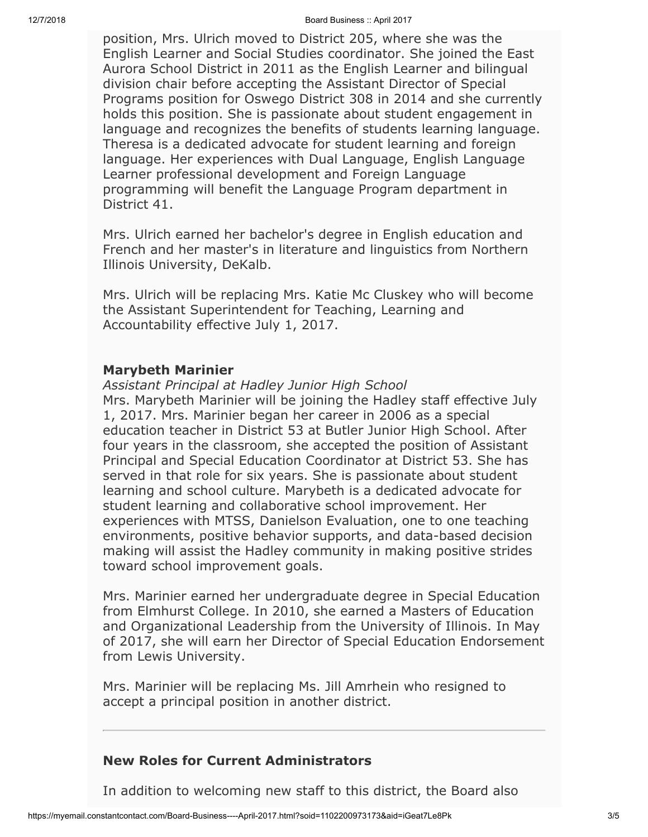12/7/2018 Board Business :: April 2017

position, Mrs. Ulrich moved to District 205, where she was the English Learner and Social Studies coordinator. She joined the East Aurora School District in 2011 as the English Learner and bilingual division chair before accepting the Assistant Director of Special Programs position for Oswego District 308 in 2014 and she currently holds this position. She is passionate about student engagement in language and recognizes the benefits of students learning language. Theresa is a dedicated advocate for student learning and foreign language. Her experiences with Dual Language, English Language Learner professional development and Foreign Language programming will benefit the Language Program department in District 41.

Mrs. Ulrich earned her bachelor's degree in English education and French and her master's in literature and linguistics from Northern Illinois University, DeKalb.

Mrs. Ulrich will be replacing Mrs. Katie Mc Cluskey who will become the Assistant Superintendent for Teaching, Learning and Accountability effective July 1, 2017.

#### **Marybeth Marinier**

*Assistant Principal at Hadley Junior High School*

Mrs. Marybeth Marinier will be joining the Hadley staff effective July 1, 2017. Mrs. Marinier began her career in 2006 as a special education teacher in District 53 at Butler Junior High School. After four years in the classroom, she accepted the position of Assistant Principal and Special Education Coordinator at District 53. She has served in that role for six years. She is passionate about student learning and school culture. Marybeth is a dedicated advocate for student learning and collaborative school improvement. Her experiences with MTSS, Danielson Evaluation, one to one teaching environments, positive behavior supports, and data-based decision making will assist the Hadley community in making positive strides toward school improvement goals.

Mrs. Marinier earned her undergraduate degree in Special Education from Elmhurst College. In 2010, she earned a Masters of Education and Organizational Leadership from the University of Illinois. In May of 2017, she will earn her Director of Special Education Endorsement from Lewis University.

Mrs. Marinier will be replacing Ms. Jill Amrhein who resigned to accept a principal position in another district.

### **New Roles for Current Administrators**

In addition to welcoming new staff to this district, the Board also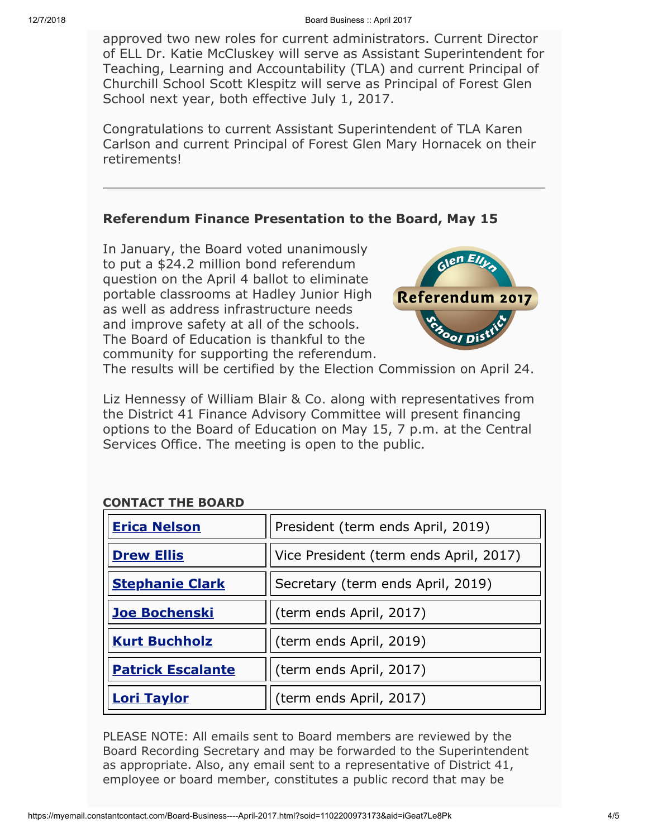approved two new roles for current administrators. Current Director of ELL Dr. Katie McCluskey will serve as Assistant Superintendent for Teaching, Learning and Accountability (TLA) and current Principal of Churchill School Scott Klespitz will serve as Principal of Forest Glen School next year, both effective July 1, 2017.

Congratulations to current Assistant Superintendent of TLA Karen Carlson and current Principal of Forest Glen Mary Hornacek on their retirements!

### **Referendum Finance Presentation to the Board, May 15**

In January, the Board voted unanimously to put a \$24.2 million bond referendum question on the April 4 ballot to eliminate portable classrooms at Hadley Junior High as well as address infrastructure needs and improve safety at all of the schools. The Board of Education is thankful to the community for supporting the referendum.



The results will be certified by the Election Commission on April 24.

Liz Hennessy of William Blair & Co. along with representatives from the District 41 Finance Advisory Committee will present financing options to the Board of Education on May 15, 7 p.m. at the Central Services Office. The meeting is open to the public.

# **CONTACT THE BOARD**

| <b>Erica Nelson</b>      | President (term ends April, 2019)      |
|--------------------------|----------------------------------------|
| <b>Drew Ellis</b>        | Vice President (term ends April, 2017) |
| <b>Stephanie Clark</b>   | Secretary (term ends April, 2019)      |
| <b>Joe Bochenski</b>     | (term ends April, 2017)                |
| <b>Kurt Buchholz</b>     | (term ends April, 2019)                |
| <b>Patrick Escalante</b> | (term ends April, 2017)                |
| <u>Lori Taylor</u>       | (term ends April, 2017)                |

PLEASE NOTE: All emails sent to Board members are reviewed by the Board Recording Secretary and may be forwarded to the Superintendent as appropriate. Also, any email sent to a representative of District 41, employee or board member, constitutes a public record that may be